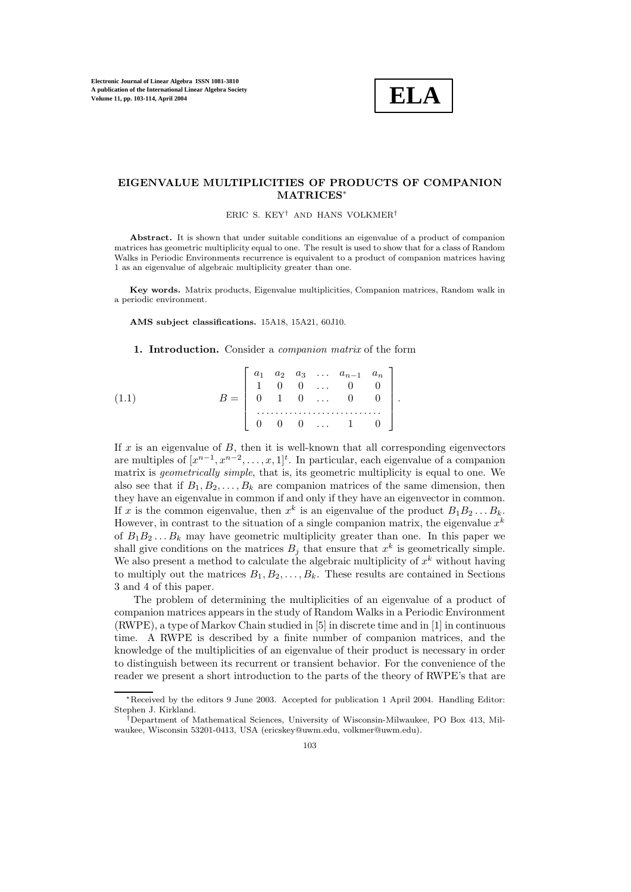

## **EIGENVALUE MULTIPLICITIES OF PRODUCTS OF COMPANION MATRICES**∗

ERIC S. KEY† AND HANS VOLKMER†

Abstract. It is shown that under suitable conditions an eigenvalue of a product of companion matrices has geometric multiplicity equal to one. The result is used to show that for a class of Random Walks in Periodic Environments recurrence is equivalent to a product of companion matrices having 1 as an eigenvalue of algebraic multiplicity greater than one.

**Key words.** Matrix products, Eigenvalue multiplicities, Companion matrices, Random walk in a periodic environment.

**AMS subject classifications.** 15A18, 15A21, 60J10.

**1. Introduction.** Consider a *companion matrix* of the form

| $B = \left[ \begin{array}{cccccc} a_1 & a_2 & a_3 & \ldots & a_{n-1} & a_n \\ 1 & 0 & 0 & \ldots & 0 & 0 \\ 0 & 1 & 0 & \ldots & 0 & 0 \end{array} \right].$<br>$0 \t 0 \t 0 \t \ldots \t 1 \t 0$ |
|---------------------------------------------------------------------------------------------------------------------------------------------------------------------------------------------------|

If  $x$  is an eigenvalue of  $B$ , then it is well-known that all corresponding eigenvectors are multiples of  $[x^{n-1}, x^{n-2}, \ldots, x, 1]^t$ . In particular, each eigenvalue of a companion matrix is *geometrically simple*, that is, its geometric multiplicity is equal to one. We also see that if  $B_1, B_2, \ldots, B_k$  are companion matrices of the same dimension, then they have an eigenvalue in common if and only if they have an eigenvector in common. If x is the common eigenvalue, then  $x^k$  is an eigenvalue of the product  $B_1B_2...B_k$ . However, in contrast to the situation of a single companion matrix, the eigenvalue  $x^k$ of  $B_1B_2...B_k$  may have geometric multiplicity greater than one. In this paper we shall give conditions on the matrices  $B_i$  that ensure that  $x^k$  is geometrically simple. We also present a method to calculate the algebraic multiplicity of  $x^k$  without having to multiply out the matrices  $B_1, B_2, \ldots, B_k$ . These results are contained in Sections 3 and 4 of this paper.

The problem of determining the multiplicities of an eigenvalue of a product of companion matrices appears in the study of Random Walks in a Periodic Environment (RWPE), a type of Markov Chain studied in [5]in discrete time and in [1]in continuous time. A RWPE is described by a finite number of companion matrices, and the knowledge of the multiplicities of an eigenvalue of their product is necessary in order to distinguish between its recurrent or transient behavior. For the convenience of the reader we present a short introduction to the parts of the theory of RWPE's that are

<sup>∗</sup>Received by the editors 9 June 2003. Accepted for publication 1 April 2004. Handling Editor: Stephen J. Kirkland.

<sup>†</sup>Department of Mathematical Sciences, University of Wisconsin-Milwaukee, PO Box 413, Milwaukee, Wisconsin 53201-0413, USA (ericskey@uwm.edu, volkmer@uwm.edu).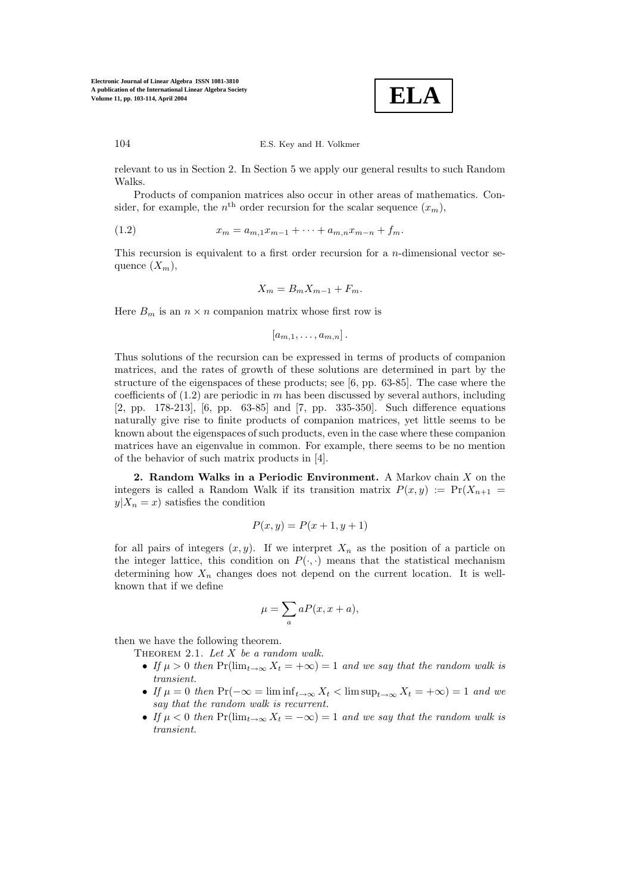

relevant to us in Section 2. In Section 5 we apply our general results to such Random Walks.

Products of companion matrices also occur in other areas of mathematics. Consider, for example, the  $n<sup>th</sup>$  order recursion for the scalar sequence  $(x_m)$ ,

(1.2) 
$$
x_m = a_{m,1}x_{m-1} + \cdots + a_{m,n}x_{m-n} + f_m.
$$

This recursion is equivalent to a first order recursion for a n-dimensional vector sequence  $(X_m)$ ,

$$
X_m = B_m X_{m-1} + F_m.
$$

Here  $B_m$  is an  $n \times n$  companion matrix whose first row is

$$
[a_{m,1},\ldots,a_{m,n}].
$$

Thus solutions of the recursion can be expressed in terms of products of companion matrices, and the rates of growth of these solutions are determined in part by the structure of the eigenspaces of these products; see [6, pp. 63-85]. The case where the coefficients of  $(1.2)$  are periodic in m has been discussed by several authors, including [2, pp. 178-213], [6, pp. 63-85] and [7, pp. 335-350]. Such difference equations naturally give rise to finite products of companion matrices, yet little seems to be known about the eigenspaces of such products, even in the case where these companion matrices have an eigenvalue in common. For example, there seems to be no mention of the behavior of such matrix products in [4].

**2. Random Walks in a Periodic Environment.** A Markov chain X on the integers is called a Random Walk if its transition matrix  $P(x, y) := Pr(X_{n+1})$  $y|X_n = x$  satisfies the condition

$$
P(x, y) = P(x+1, y+1)
$$

for all pairs of integers  $(x, y)$ . If we interpret  $X_n$  as the position of a particle on the integer lattice, this condition on  $P(\cdot, \cdot)$  means that the statistical mechanism determining how  $X_n$  changes does not depend on the current location. It is wellknown that if we define

$$
\mu = \sum_{a} aP(x, x + a),
$$

then we have the following theorem.

Theorem 2.1. *Let* X *be a random walk.*

- *If*  $\mu > 0$  *then*  $Pr(\lim_{t \to \infty} X_t = +\infty) = 1$  *and we say that the random walk is transient.*
- *If*  $\mu = 0$  *then* Pr( $-\infty = \liminf_{t \to \infty} X_t < \limsup_{t \to \infty} X_t = +\infty$ ) = 1 *and we say that the random walk is recurrent.*
- If  $\mu < 0$  then  $Pr(\lim_{t \to \infty} X_t = -\infty) = 1$  and we say that the random walk is *transient.*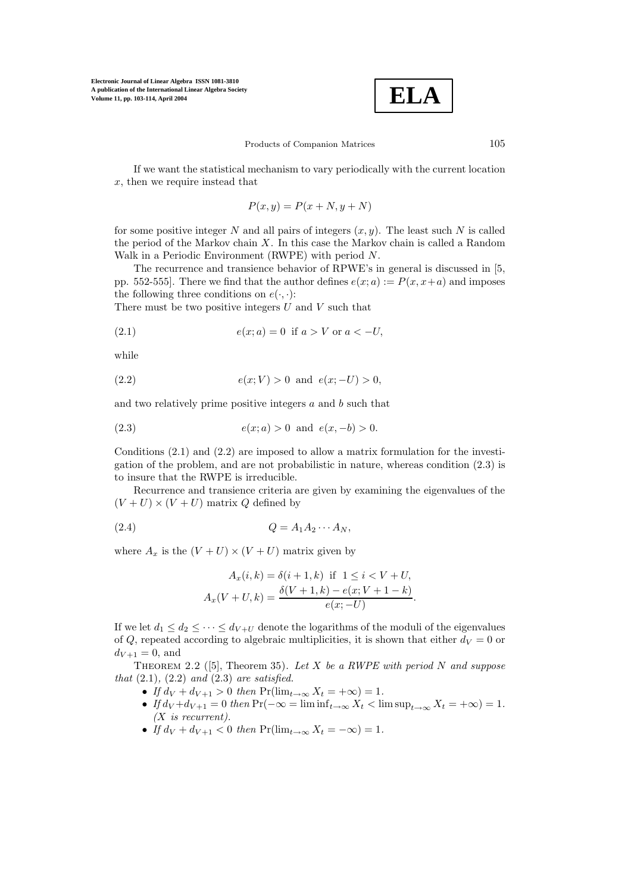

Products of Companion Matrices 105

If we want the statistical mechanism to vary periodically with the current location x, then we require instead that

$$
P(x, y) = P(x + N, y + N)
$$

for some positive integer N and all pairs of integers  $(x, y)$ . The least such N is called the period of the Markov chain  $X$ . In this case the Markov chain is called a Random Walk in a Periodic Environment (RWPE) with period N.

The recurrence and transience behavior of RPWE's in general is discussed in [5, pp. 552-555. There we find that the author defines  $e(x; a) := P(x, x+a)$  and imposes the following three conditions on  $e(\cdot, \cdot)$ :

There must be two positive integers  $U$  and  $V$  such that

(2.1) 
$$
e(x; a) = 0 \text{ if } a > V \text{ or } a < -U,
$$

while

(2.2) 
$$
e(x; V) > 0
$$
 and  $e(x; -U) > 0$ ,

and two relatively prime positive integers a and b such that

(2.3) 
$$
e(x; a) > 0
$$
 and  $e(x, -b) > 0$ .

Conditions (2.1) and (2.2) are imposed to allow a matrix formulation for the investigation of the problem, and are not probabilistic in nature, whereas condition (2.3) is to insure that the RWPE is irreducible.

Recurrence and transience criteria are given by examining the eigenvalues of the  $(V + U) \times (V + U)$  matrix Q defined by

$$
(2.4) \tQ = A_1 A_2 \cdots A_N,
$$

where  $A_x$  is the  $(V + U) \times (V + U)$  matrix given by

$$
A_x(i,k) = \delta(i+1,k) \text{ if } 1 \le i < V + U,
$$
  

$$
A_x(V + U, k) = \frac{\delta(V + 1, k) - e(x; V + 1 - k)}{e(x; -U)}.
$$

If we let  $d_1 \leq d_2 \leq \cdots \leq d_{V+U}$  denote the logarithms of the moduli of the eigenvalues of Q, repeated according to algebraic multiplicities, it is shown that either  $d_V = 0$  or  $d_{V+1} = 0$ , and

Theorem 2.2 ([5], Theorem 35). *Let* X *be a RWPE with period* N *and suppose that* (2.1)*,* (2.2) *and* (2.3) *are satisfied.*

- *If*  $d_V + d_{V+1} > 0$  *then*  $Pr(\lim_{t \to \infty} X_t = +\infty) = 1$ .
- *If*  $d_V + d_{V+1} = 0$  *then*  $Pr(-\infty) = \liminf_{t \to \infty} X_t < \limsup_{t \to \infty} X_t = +\infty) = 1$ . *(*X *is recurrent).*
- *If*  $d_V + d_{V+1} < 0$  *then*  $Pr(\lim_{t \to \infty} X_t = -\infty) = 1$ .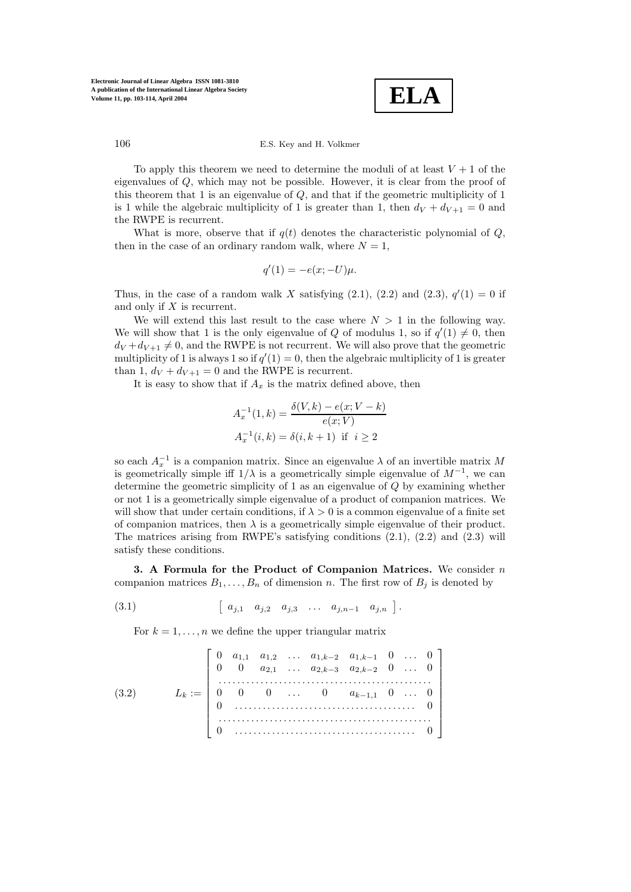

To apply this theorem we need to determine the moduli of at least  $V + 1$  of the eigenvalues of Q, which may not be possible. However, it is clear from the proof of this theorem that 1 is an eigenvalue of  $Q$ , and that if the geometric multiplicity of 1 is 1 while the algebraic multiplicity of 1 is greater than 1, then  $d_V + d_{V+1} = 0$  and the RWPE is recurrent.

What is more, observe that if  $q(t)$  denotes the characteristic polynomial of  $Q$ , then in the case of an ordinary random walk, where  $N = 1$ ,

$$
q'(1) = -e(x; -U)\mu.
$$

Thus, in the case of a random walk X satisfying  $(2.1)$ ,  $(2.2)$  and  $(2.3)$ ,  $q'(1) = 0$  if and only if X is recurrent.

We will extend this last result to the case where  $N > 1$  in the following way. We will show that 1 is the only eigenvalue of Q of modulus 1, so if  $q'(1) \neq 0$ , then  $d_V + d_{V+1} \neq 0$ , and the RWPE is not recurrent. We will also prove that the geometric multiplicity of 1 is always 1 so if  $q'(1) = 0$ , then the algebraic multiplicity of 1 is greater than 1,  $d_V + d_{V+1} = 0$  and the RWPE is recurrent.

It is easy to show that if  $A_x$  is the matrix defined above, then

$$
A_x^{-1}(1,k) = \frac{\delta(V,k) - e(x;V - k)}{e(x;V)}
$$
  

$$
A_x^{-1}(i,k) = \delta(i,k+1) \text{ if } i \ge 2
$$

so each  $A_x^{-1}$  is a companion matrix. Since an eigenvalue  $\lambda$  of an invertible matrix M is geometrically simple iff  $1/\lambda$  is a geometrically simple eigenvalue of  $M^{-1}$ , we can determine the geometric simplicity of 1 as an eigenvalue of Q by examining whether or not 1 is a geometrically simple eigenvalue of a product of companion matrices. We will show that under certain conditions, if  $\lambda > 0$  is a common eigenvalue of a finite set of companion matrices, then  $\lambda$  is a geometrically simple eigenvalue of their product. The matrices arising from RWPE's satisfying conditions (2.1), (2.2) and (2.3) will satisfy these conditions.

**3. A Formula for the Product of Companion Matrices.** We consider n companion matrices  $B_1, \ldots, B_n$  of dimension n. The first row of  $B_j$  is denoted by

$$
(3.1) \t\t [a_{j,1} \ a_{j,2} \ a_{j,3} \ \ldots \ a_{j,n-1} \ a_{j,n}].
$$

For  $k = 1, \ldots, n$  we define the upper triangular matrix

$$
(3.2) \tL_k := \begin{bmatrix} 0 & a_{1,1} & a_{1,2} & \dots & a_{1,k-2} & a_{1,k-1} & 0 & \dots & 0 \\ 0 & 0 & a_{2,1} & \dots & a_{2,k-3} & a_{2,k-2} & 0 & \dots & 0 \\ \vdots & \vdots & \vdots & \ddots & \vdots & \vdots & \vdots \\ 0 & 0 & 0 & \dots & 0 & a_{k-1,1} & 0 & \dots & 0 \\ 0 & \dots & \dots & \dots & \dots & \dots & \dots & \dots & 0 \\ \vdots & \vdots & \vdots & \vdots & \vdots & \vdots & \vdots & \vdots \\ 0 & \dots & \dots & \dots & \dots & \dots & \dots & \dots & \dots & \dots \end{bmatrix}
$$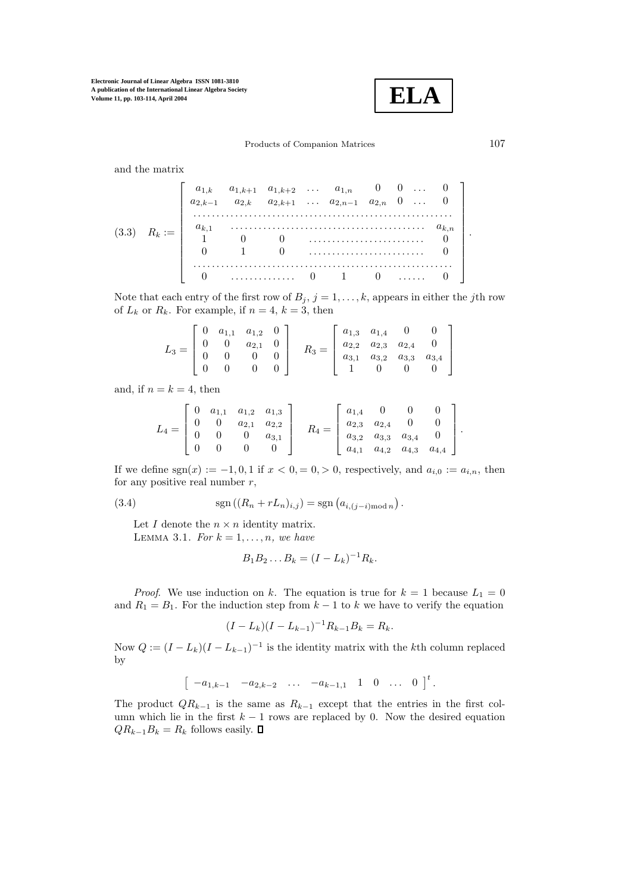**ELA**

Products of Companion Matrices 107

and the matrix

$$
(3.3) \quad R_k := \left[\begin{array}{cccccc} a_{1,k} & a_{1,k+1} & a_{1,k+2} & \dots & a_{1,n} & 0 & 0 & \dots & 0 \\ a_{2,k-1} & a_{2,k} & a_{2,k+1} & \dots & a_{2,n-1} & a_{2,n} & 0 & \dots & 0 \\ \vdots & \vdots & \vdots & \vdots & \ddots & \vdots & \vdots \\ a_{k,1} & \vdots & \vdots & \vdots & \vdots & \vdots & \vdots \\ 1 & 0 & 0 & \vdots & \vdots & \vdots & \vdots & \vdots \\ 0 & 1 & 0 & \vdots & \vdots & \vdots & \vdots & \vdots \\ 0 & \vdots & \vdots & \vdots & \vdots & \vdots & \vdots & \vdots \\ 0 & \vdots & \vdots & \vdots & \vdots & \vdots & \vdots & \vdots \\ 0 & \vdots & \vdots & \vdots & \vdots & \vdots & \vdots & \vdots \\ 0 & \vdots & \vdots & \vdots & \vdots & \vdots & \vdots & \vdots \\ 0 & \vdots & \vdots & \vdots & \vdots & \vdots & \vdots & \vdots \\ 0 & \vdots & \vdots & \vdots & \vdots & \vdots & \vdots & \vdots & \vdots \\ 0 & \vdots & \vdots & \vdots & \vdots & \vdots & \vdots & \vdots & \vdots \\ 0 & \vdots & \vdots & \vdots & \vdots & \vdots & \vdots & \vdots & \vdots \\ 0 & \vdots & \vdots & \vdots & \vdots & \vdots & \vdots & \vdots & \vdots \\ 0 & \vdots & \vdots & \vd
$$

Note that each entry of the first row of  $B_j$ ,  $j = 1, \ldots, k$ , appears in either the jth row of  $L_k$  or  $R_k$ . For example, if  $n = 4, k = 3$ , then

$$
L_3 = \begin{bmatrix} 0 & a_{1,1} & a_{1,2} & 0 \\ 0 & 0 & a_{2,1} & 0 \\ 0 & 0 & 0 & 0 \\ 0 & 0 & 0 & 0 \end{bmatrix} \quad R_3 = \begin{bmatrix} a_{1,3} & a_{1,4} & 0 & 0 \\ a_{2,2} & a_{2,3} & a_{2,4} & 0 \\ a_{3,1} & a_{3,2} & a_{3,3} & a_{3,4} \\ 1 & 0 & 0 & 0 \end{bmatrix}
$$

and, if  $n = k = 4$ , then

$$
L_4 = \begin{bmatrix} 0 & a_{1,1} & a_{1,2} & a_{1,3} \\ 0 & 0 & a_{2,1} & a_{2,2} \\ 0 & 0 & 0 & a_{3,1} \\ 0 & 0 & 0 & 0 \end{bmatrix} \quad R_4 = \begin{bmatrix} a_{1,4} & 0 & 0 & 0 \\ a_{2,3} & a_{2,4} & 0 & 0 \\ a_{3,2} & a_{3,3} & a_{3,4} & 0 \\ a_{4,1} & a_{4,2} & a_{4,3} & a_{4,4} \end{bmatrix}.
$$

If we define  $sgn(x) := -1, 0, 1$  if  $x < 0, = 0, > 0$ , respectively, and  $a_{i,0} := a_{i,n}$ , then for any positive real number  $r$ ,

(3.4) 
$$
\operatorname{sgn}((R_n + rL_n)_{i,j}) = \operatorname{sgn}(a_{i,(j-i) \operatorname{mod} n}).
$$

Let  $I$  denote the  $n \times n$  identity matrix. LEMMA 3.1. *For*  $k = 1, \ldots, n$ *, we have* 

$$
B_1 B_2 \dots B_k = (I - L_k)^{-1} R_k.
$$

*Proof.* We use induction on k. The equation is true for  $k = 1$  because  $L_1 = 0$ and  $R_1 = B_1$ . For the induction step from  $k-1$  to k we have to verify the equation

$$
(I - L_k)(I - L_{k-1})^{-1}R_{k-1}B_k = R_k.
$$

Now  $Q := (I - L_k)(I - L_{k-1})^{-1}$  is the identity matrix with the kth column replaced by

$$
\begin{bmatrix} -a_{1,k-1} & -a_{2,k-2} & \dots & -a_{k-1,1} & 1 & 0 & \dots & 0 \end{bmatrix}^t.
$$

The product  $QR_{k-1}$  is the same as  $R_{k-1}$  except that the entries in the first column which lie in the first  $k - 1$  rows are replaced by 0. Now the desired equation  $QR_{k-1}B_k = R_k$  follows easily.  $\Box$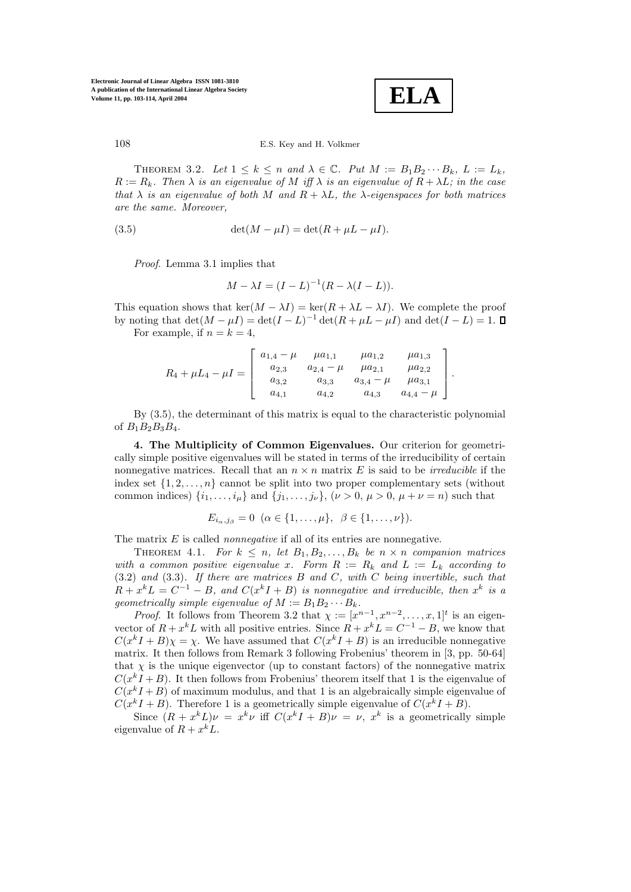**ELA**

THEOREM 3.2. Let  $1 \leq k \leq n$  and  $\lambda \in \mathbb{C}$ . Put  $M := B_1 B_2 \cdots B_k$ ,  $L := L_k$ ,  $R := R_k$ . Then  $\lambda$  *is an eigenvalue of*  $M$  *iff*  $\lambda$  *is an eigenvalue of*  $R + \lambda L$ *; in the case that*  $\lambda$  *is an eigenvalue of both* M *and*  $R + \lambda L$ *, the*  $\lambda$ *-eigenspaces for both matrices are the same. Moreover,*

(3.5) 
$$
\det(M - \mu I) = \det(R + \mu L - \mu I).
$$

*Proof*. Lemma 3.1 implies that

$$
M - \lambda I = (I - L)^{-1} (R - \lambda (I - L)).
$$

This equation shows that  $\ker(M - \lambda I) = \ker(R + \lambda L - \lambda I)$ . We complete the proof by noting that  $\det(M - \mu I) = \det(I - L)^{-1} \det(R + \mu L - \mu I)$  and  $\det(I - L) = 1$ . For example, if  $n = k = 4$ ,

$$
R_4 + \mu L_4 - \mu I = \left[ \begin{array}{cccc} a_{1,4} - \mu & \mu a_{1,1} & \mu a_{1,2} & \mu a_{1,3} \\ a_{2,3} & a_{2,4} - \mu & \mu a_{2,1} & \mu a_{2,2} \\ a_{3,2} & a_{3,3} & a_{3,4} - \mu & \mu a_{3,1} \\ a_{4,1} & a_{4,2} & a_{4,3} & a_{4,4} - \mu \end{array} \right].
$$

By (3.5), the determinant of this matrix is equal to the characteristic polynomial of  $B_1B_2B_3B_4$ .

**4. The Multiplicity of Common Eigenvalues.** Our criterion for geometrically simple positive eigenvalues will be stated in terms of the irreducibility of certain nonnegative matrices. Recall that an  $n \times n$  matrix E is said to be *irreducible* if the index set  $\{1, 2, \ldots, n\}$  cannot be split into two proper complementary sets (without common indices)  $\{i_1,\ldots,i_u\}$  and  $\{j_1,\ldots,j_\nu\}$ ,  $(\nu>0, \mu>0, \mu+\nu=n)$  such that

$$
E_{i_{\alpha},j_{\beta}} = 0 \ (\alpha \in \{1,\ldots,\mu\}, \ \beta \in \{1,\ldots,\nu\}).
$$

The matrix E is called *nonnegative* if all of its entries are nonnegative.

THEOREM 4.1. For  $k \leq n$ , let  $B_1, B_2, \ldots, B_k$  be  $n \times n$  companion matrices *with a common positive eigenvalue x. Form*  $R := R_k$  *and*  $L := L_k$  *according to* (3.2) *and* (3.3)*. If there are matrices* B *and* C*, with* C *being invertible, such that*  $R + x^k L = C^{-1} - B$ , and  $C(x^k I + B)$  *is nonnegative and irreducible, then*  $x^k$  *is a geometrically simple eigenvalue of*  $M := B_1 B_2 \cdots B_k$ .

*Proof.* It follows from Theorem 3.2 that  $\chi := [x^{n-1}, x^{n-2}, \ldots, x, 1]^t$  is an eigenvector of  $R + x^k L$  with all positive entries. Since  $R + x^k L = C^{-1} - B$ , we know that  $C(x^{k}I + B)\chi = \chi$ . We have assumed that  $C(x^{k}I + B)$  is an irreducible nonnegative matrix. It then follows from Remark 3 following Frobenius' theorem in [3, pp. 50-64] that  $\chi$  is the unique eigenvector (up to constant factors) of the nonnegative matrix  $C(x<sup>k</sup>I + B)$ . It then follows from Frobenius' theorem itself that 1 is the eigenvalue of  $C(x^kI + B)$  of maximum modulus, and that 1 is an algebraically simple eigenvalue of  $C(x^kI + B)$ . Therefore 1 is a geometrically simple eigenvalue of  $C(x^kI + B)$ .

Since  $(R + x^k L)\nu = x^k \nu$  iff  $C(x^k I + B)\nu = \nu$ ,  $x^k$  is a geometrically simple eigenvalue of  $R + x^k L$ .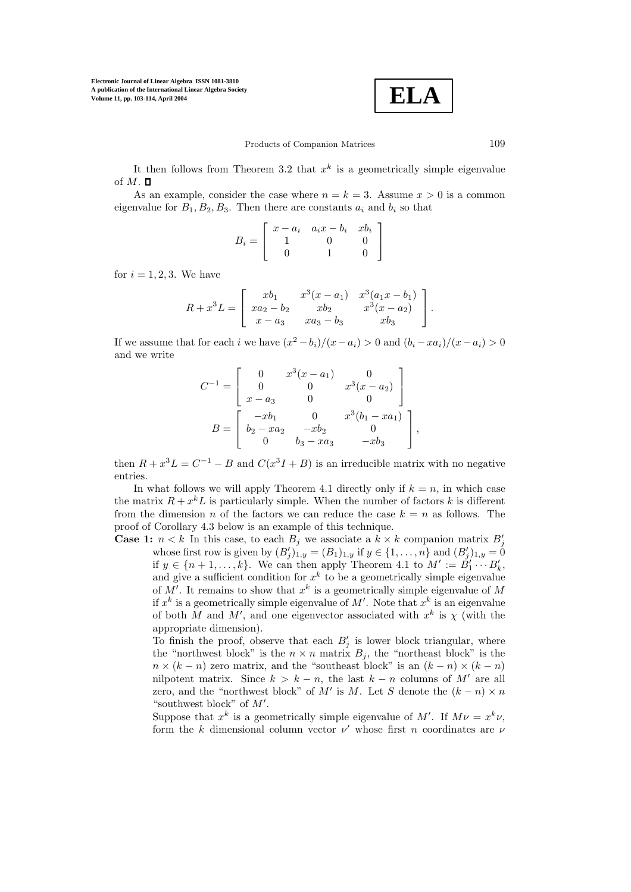$$
\boxed{\text{ELA}}
$$

Products of Companion Matrices 109

It then follows from Theorem 3.2 that  $x^k$  is a geometrically simple eigenvalue of  $M$ .  $\square$ 

As an example, consider the case where  $n = k = 3$ . Assume  $x > 0$  is a common eigenvalue for  $B_1, B_2, B_3$ . Then there are constants  $a_i$  and  $b_i$  so that

$$
B_i = \left[ \begin{array}{rrr} x - a_i & a_i x - b_i & x b_i \\ 1 & 0 & 0 \\ 0 & 1 & 0 \end{array} \right]
$$

for  $i = 1, 2, 3$ . We have

$$
R + x3L = \begin{bmatrix} xb_1 & x3(x - a1) & x3(a1x - b1) \\ xa2 - b2 & xb2 & x3(x - a2) \\ x - a3 & xa3 - b3 & xb3 \end{bmatrix}.
$$

If we assume that for each i we have  $(x^2 - b_i)/(x - a_i) > 0$  and  $(b_i - xa_i)/(x - a_i) > 0$ and we write

$$
C^{-1} = \begin{bmatrix} 0 & x^3(x-a_1) & 0 \\ 0 & 0 & x^3(x-a_2) \\ x-a_3 & 0 & 0 \end{bmatrix}
$$

$$
B = \begin{bmatrix} -xb_1 & 0 & x^3(b_1 - xa_1) \\ b_2 - xa_2 & -xb_2 & 0 \\ 0 & b_3 - xa_3 & -xb_3 \end{bmatrix},
$$

then  $R + x^3L = C^{-1} - B$  and  $C(x^3I + B)$  is an irreducible matrix with no negative entries.

In what follows we will apply Theorem 4.1 directly only if  $k = n$ , in which case the matrix  $R + x^k L$  is particularly simple. When the number of factors k is different from the dimension n of the factors we can reduce the case  $k = n$  as follows. The proof of Corollary 4.3 below is an example of this technique.

**Case 1:**  $n < k$  In this case, to each  $B_j$  we associate a  $k \times k$  companion matrix  $B'_j$ whose first row is given by  $(B'_i)_{1,y} = (B_1)_{1,y}$  if  $y \in \{1,\ldots,n\}$  and  $(B'_i)_{1,y} = 0$ if  $y \in \{n+1,\ldots,k\}$ . We can then apply Theorem 4.1 to  $M' := B'_1 \cdots B'_k$ , and give a sufficient condition for  $x^k$  to be a geometrically simple eigenvalue of M'. It remains to show that  $x^k$  is a geometrically simple eigenvalue of M if  $x^k$  is a geometrically simple eigenvalue of M'. Note that  $x^k$  is an eigenvalue of both M and M', and one eigenvector associated with  $x^k$  is  $\chi$  (with the appropriate dimension).

To finish the proof, observe that each  $B_i'$  is lower block triangular, where the "northwest block" is the  $n \times n$  matrix  $B_j$ , the "northeast block" is the  $n \times (k - n)$  zero matrix, and the "southeast block" is an  $(k - n) \times (k - n)$ nilpotent matrix. Since  $k > k - n$ , the last  $k - n$  columns of M' are all zero, and the "northwest block" of M' is M. Let S denote the  $(k - n) \times n$ "southwest block" of  $M'$ .

Suppose that  $x^k$  is a geometrically simple eigenvalue of M'. If  $M\nu = x^k\nu$ , form the k dimensional column vector  $\nu'$  whose first n coordinates are  $\nu$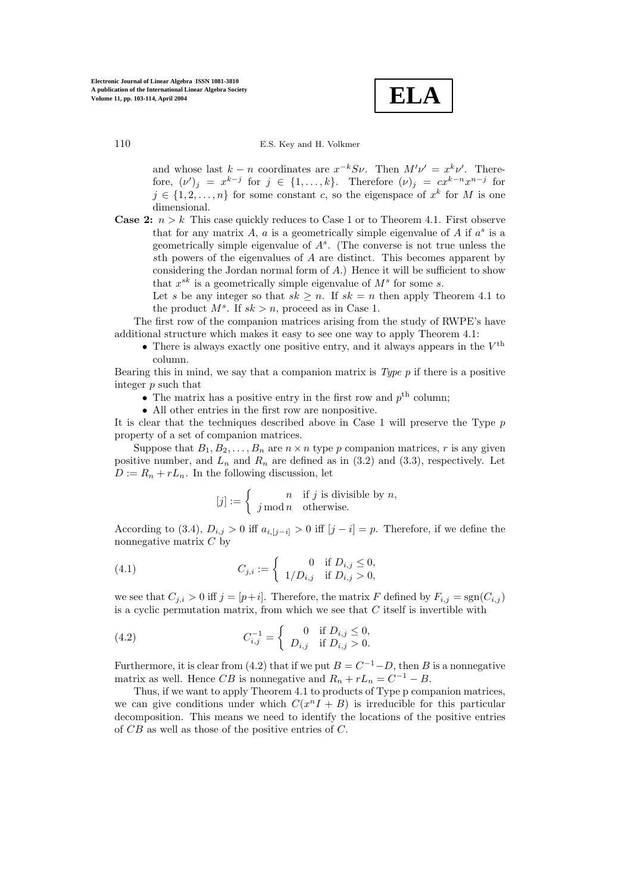**ELA**

and whose last  $k - n$  coordinates are  $x^{-k}S\nu$ . Then  $M'\nu' = x^k\nu'$ . Therefore,  $(\nu')_j = x^{k-j}$  for  $j \in \{1,\ldots,k\}$ . Therefore  $(\nu)_j = cx^{k-n}x^{n-j}$  for  $j \in \{1, 2, ..., n\}$  for some constant c, so the eigenspace of  $x^k$  for M is one dimensional.

**Case 2:**  $n > k$  This case quickly reduces to Case 1 or to Theorem 4.1. First observe that for any matrix A, a is a geometrically simple eigenvalue of A if  $a^s$  is a geometrically simple eigenvalue of  $A<sup>s</sup>$ . (The converse is not true unless the sth powers of the eigenvalues of A are distinct. This becomes apparent by considering the Jordan normal form of  $A$ .) Hence it will be sufficient to show that  $x^{sk}$  is a geometrically simple eigenvalue of  $M^s$  for some s.

Let s be any integer so that  $sk \geq n$ . If  $sk = n$  then apply Theorem 4.1 to the product  $M^s$ . If  $sk > n$ , proceed as in Case 1.

The first row of the companion matrices arising from the study of RWPE's have additional structure which makes it easy to see one way to apply Theorem 4.1:

• There is always exactly one positive entry, and it always appears in the  $V^{\text{th}}$ column.

Bearing this in mind, we say that a companion matrix is *Type* p if there is a positive integer p such that

- $\bullet\,$  The matrix has a positive entry in the first row and  $p^{\rm th}$  column:
- All other entries in the first row are nonpositive.

It is clear that the techniques described above in Case 1 will preserve the Type p property of a set of companion matrices.

Suppose that  $B_1, B_2, \ldots, B_n$  are  $n \times n$  type p companion matrices, r is any given positive number, and  $L_n$  and  $R_n$  are defined as in (3.2) and (3.3), respectively. Let  $D := R_n + rL_n$ . In the following discussion, let

$$
[j] := \begin{cases} n & \text{if } j \text{ is divisible by } n, \\ j \bmod n & \text{otherwise.} \end{cases}
$$

According to (3.4),  $D_{i,j} > 0$  iff  $a_{i,[j-i]} > 0$  iff  $[j-i] = p$ . Therefore, if we define the nonnegative matrix C by

(4.1) 
$$
C_{j,i} := \begin{cases} 0 & \text{if } D_{i,j} \leq 0, \\ 1/D_{i,j} & \text{if } D_{i,j} > 0, \end{cases}
$$

we see that  $C_{j,i} > 0$  iff  $j = [p+i]$ . Therefore, the matrix F defined by  $F_{i,j} = \text{sgn}(C_{i,j})$ is a cyclic permutation matrix, from which we see that  $C$  itself is invertible with

(4.2) 
$$
C_{i,j}^{-1} = \begin{cases} 0 & \text{if } D_{i,j} \leq 0, \\ D_{i,j} & \text{if } D_{i,j} > 0. \end{cases}
$$

Furthermore, it is clear from (4.2) that if we put  $B = C^{-1} - D$ , then B is a nonnegative matrix as well. Hence CB is nonnegative and  $R_n + rL_n = C^{-1} - B$ .

Thus, if we want to apply Theorem 4.1 to products of Type p companion matrices, we can give conditions under which  $C(x^nI + B)$  is irreducible for this particular decomposition. This means we need to identify the locations of the positive entries of CB as well as those of the positive entries of C.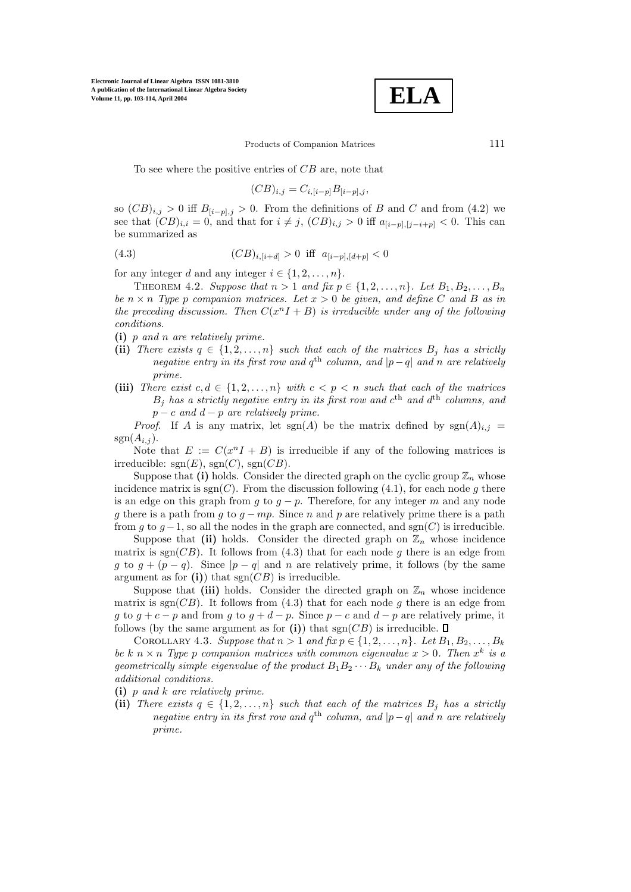$$
\boxed{\textbf{ELA}}
$$

Products of Companion Matrices 111

To see where the positive entries of CB are, note that

$$
(CB)_{i,j} = C_{i,[i-p]}B_{[i-p],j},
$$

so  $(CB)_{i,j} > 0$  iff  $B_{[i-p],j} > 0$ . From the definitions of B and C and from (4.2) we see that  $(CB)_{i,i} = 0$ , and that for  $i \neq j$ ,  $(CB)_{i,j} > 0$  iff  $a_{[i-p],[j-i+p]} < 0$ . This can be summarized as

(4.3) 
$$
(CB)_{i,[i+d]} > 0 \text{ iff } a_{[i-p],[d+p]} < 0
$$

for any integer d and any integer  $i \in \{1, 2, ..., n\}$ .

THEOREM 4.2. *Suppose that*  $n > 1$  *and*  $\hat{p}x p \in \{1, 2, ..., n\}$ *. Let*  $B_1, B_2, ..., B_n$ *be*  $n \times n$  *Type* p *companion matrices. Let*  $x > 0$  *be given, and define* C *and* B *as in the preceding discussion. Then*  $C(x^nI + B)$  *is irreducible under any of the following conditions.*

**(i)** p *and* n *are relatively prime.*

- (ii) *There exists*  $q \in \{1, 2, ..., n\}$  *such that each of the matrices*  $B_i$  *has a strictly negative entry in its first row and*  $q^{\text{th}}$  *column, and*  $|p-q|$  *and n are relatively prime.*
- (iii) *There exist*  $c, d \in \{1, 2, ..., n\}$  *with*  $c < p < n$  *such that each of the matrices*  $B_j$  has a strictly negative entry in its first row and  $c^{\text{th}}$  and  $d^{\text{th}}$  columns, and p − c *and* d − p *are relatively prime.*

*Proof.* If A is any matrix, let  $sgn(A)$  be the matrix defined by  $sgn(A)_{i,j}$  $sgn(A_{i,j}).$ 

Note that  $E := C(x^nI + B)$  is irreducible if any of the following matrices is irreducible:  $sgn(E)$ ,  $sgn(C)$ ,  $sgn(CB)$ .

Suppose that (i) holds. Consider the directed graph on the cyclic group  $\mathbb{Z}_n$  whose incidence matrix is  $sgn(C)$ . From the discussion following (4.1), for each node g there is an edge on this graph from g to  $g - p$ . Therefore, for any integer m and any node g there is a path from g to  $g - mp$ . Since n and p are relatively prime there is a path from g to  $g-1$ , so all the nodes in the graph are connected, and sgn(C) is irreducible.

Suppose that (ii) holds. Consider the directed graph on  $\mathbb{Z}_n$  whose incidence matrix is  $sgn(CB)$ . It follows from (4.3) that for each node g there is an edge from g to  $g + (p - q)$ . Since  $|p - q|$  and n are relatively prime, it follows (by the same argument as for  $(i)$  that  $sgn(CB)$  is irreducible.

Suppose that (iii) holds. Consider the directed graph on  $\mathbb{Z}_n$  whose incidence matrix is  $sgn(CB)$ . It follows from (4.3) that for each node g there is an edge from g to  $g + c - p$  and from g to  $g + d - p$ . Since  $p - c$  and  $d - p$  are relatively prime, it follows (by the same argument as for (i)) that  $sgn(CB)$  is irreducible.  $\square$ 

COROLLARY 4.3. *Suppose that*  $n > 1$  *and*  $fix p \in \{1, 2, \ldots, n\}$ . Let  $B_1, B_2, \ldots, B_k$ *be* k  $n \times n$  *Type* p *companion matrices with common eigenvalue*  $x > 0$ *. Then*  $x^k$  *is a geometrically simple eigenvalue of the product*  $B_1B_2 \cdots B_k$  *under any of the following additional conditions.*

**(i)** p *and* k *are relatively prime.*

(ii) *There exists*  $q \in \{1, 2, ..., n\}$  *such that each of the matrices*  $B_i$  *has a strictly negative entry in its first row and*  $q^{\text{th}}$  *column, and*  $|p-q|$  *and n are relatively prime.*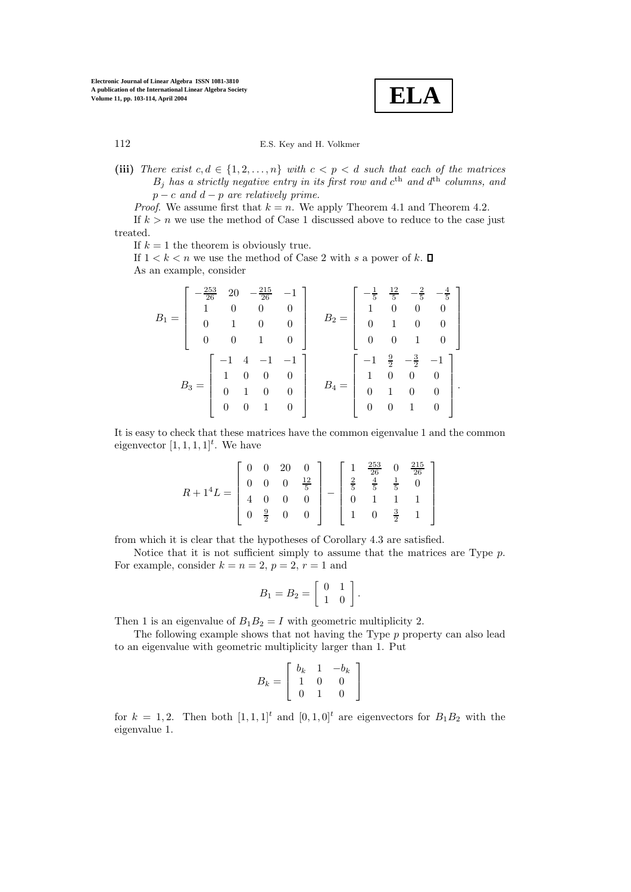**ELA**

(iii) *There exist*  $c, d \in \{1, 2, ..., n\}$  *with*  $c < p < d$  *such that each of the matrices*  $B_j$  has a strictly negative entry in its first row and  $c^{\text{th}}$  and  $d^{\text{th}}$  columns, and p − c *and* d − p *are relatively prime.*

*Proof.* We assume first that  $k = n$ . We apply Theorem 4.1 and Theorem 4.2.

If  $k>n$  we use the method of Case 1 discussed above to reduce to the case just treated.

If  $k = 1$  the theorem is obviously true.

If  $1 < k < n$  we use the method of Case 2 with s a power of k.  $\Box$ As an example, consider

$$
B_1 = \begin{bmatrix} -\frac{253}{26} & 20 & -\frac{215}{26} & -1 \\ 1 & 0 & 0 & 0 \\ 0 & 1 & 0 & 0 \\ 0 & 0 & 1 & 0 \end{bmatrix} \qquad B_2 = \begin{bmatrix} -\frac{1}{5} & \frac{12}{5} & -\frac{2}{5} & -\frac{4}{5} \\ 1 & 0 & 0 & 0 \\ 0 & 1 & 0 & 0 \\ 0 & 0 & 1 & 0 \end{bmatrix}
$$

$$
B_3 = \begin{bmatrix} -1 & 4 & -1 & -1 \\ 1 & 0 & 0 & 0 \\ 0 & 1 & 0 & 0 \\ 0 & 0 & 1 & 0 \end{bmatrix} \qquad B_4 = \begin{bmatrix} -1 & \frac{9}{2} & -\frac{3}{2} & -1 \\ 1 & 0 & 0 & 0 \\ 0 & 1 & 0 & 0 \\ 0 & 0 & 1 & 0 \end{bmatrix}.
$$

It is easy to check that these matrices have the common eigenvalue 1 and the common eigenvector  $[1, 1, 1, 1]^t$ . We have

$$
R + 14L = \begin{bmatrix} 0 & 0 & 20 & 0 \\ 0 & 0 & 0 & \frac{12}{5} \\ 4 & 0 & 0 & 0 \\ 0 & \frac{9}{2} & 0 & 0 \end{bmatrix} - \begin{bmatrix} 1 & \frac{253}{26} & 0 & \frac{215}{26} \\ \frac{2}{5} & \frac{4}{5} & \frac{1}{5} & 0 \\ 0 & 1 & 1 & 1 \\ 1 & 0 & \frac{3}{2} & 1 \end{bmatrix}
$$

from which it is clear that the hypotheses of Corollary 4.3 are satisfied.

Notice that it is not sufficient simply to assume that the matrices are Type  $p$ . For example, consider  $k = n = 2$ ,  $p = 2$ ,  $r = 1$  and

$$
B_1 = B_2 = \left[ \begin{array}{cc} 0 & 1 \\ 1 & 0 \end{array} \right].
$$

Then 1 is an eigenvalue of  $B_1B_2 = I$  with geometric multiplicity 2.

The following example shows that not having the Type p property can also lead to an eigenvalue with geometric multiplicity larger than 1. Put

$$
B_k = \left[ \begin{array}{ccc} b_k & 1 & -b_k \\ 1 & 0 & 0 \\ 0 & 1 & 0 \end{array} \right]
$$

for  $k = 1, 2$ . Then both  $[1, 1, 1]^t$  and  $[0, 1, 0]^t$  are eigenvectors for  $B_1B_2$  with the eigenvalue 1.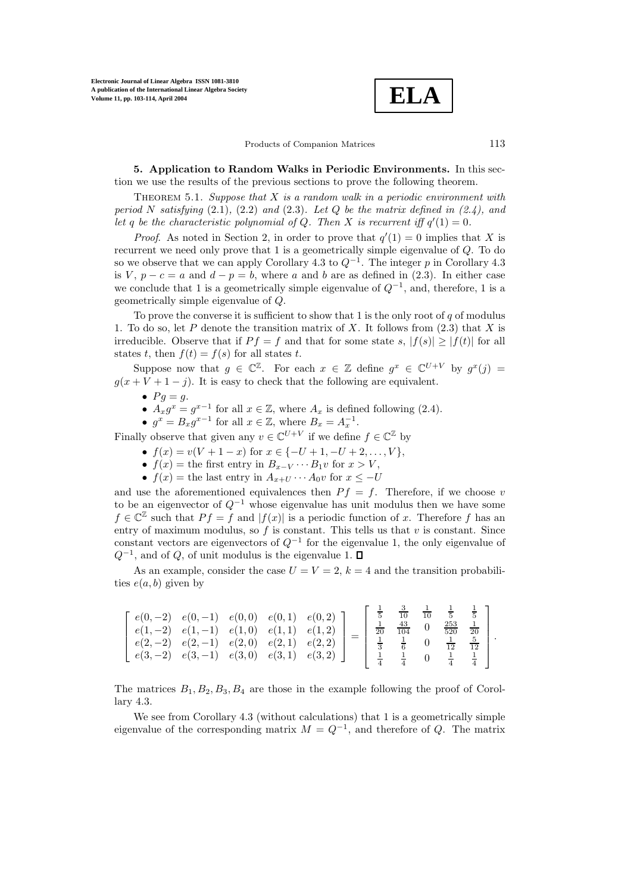**ELA**

Products of Companion Matrices 113

**5. Application to Random Walks in Periodic Environments.** In this section we use the results of the previous sections to prove the following theorem.

Theorem 5.1. *Suppose that* X *is a random walk in a periodic environment with period* N *satisfying* (2.1)*,* (2.2) *and* (2.3)*. Let* Q *be the matrix defined in (2.4), and* let q be the characteristic polynomial of Q. Then X is recurrent iff  $q'(1) = 0$ .

*Proof.* As noted in Section 2, in order to prove that  $q'(1) = 0$  implies that X is recurrent we need only prove that 1 is a geometrically simple eigenvalue of Q. To do so we observe that we can apply Corollary 4.3 to  $Q^{-1}$ . The integer p in Corollary 4.3 is V,  $p - c = a$  and  $d - p = b$ , where a and b are as defined in (2.3). In either case we conclude that 1 is a geometrically simple eigenvalue of  $Q^{-1}$ , and, therefore, 1 is a geometrically simple eigenvalue of Q.

To prove the converse it is sufficient to show that 1 is the only root of  $q$  of modulus 1. To do so, let P denote the transition matrix of X. It follows from  $(2.3)$  that X is irreducible. Observe that if  $P f = f$  and that for some state s,  $|f(s)| \geq |f(t)|$  for all states t, then  $f(t) = f(s)$  for all states t.

Suppose now that  $g \in \mathbb{C}^{\mathbb{Z}}$ . For each  $x \in \mathbb{Z}$  define  $g^x \in \mathbb{C}^{U+V}$  by  $g^x(j) =$  $g(x + V + 1 - j)$ . It is easy to check that the following are equivalent.

- $Pg = g$ .
- $A_x g^x = g^{x-1}$  for all  $x \in \mathbb{Z}$ , where  $A_x$  is defined following (2.4).
- $q^x = B_x q^{x-1}$  for all  $x \in \mathbb{Z}$ , where  $B_x = A_x^{-1}$ .

Finally observe that given any  $v \in \mathbb{C}^{U+V}$  if we define  $f \in \mathbb{C}^{\mathbb{Z}}$  by

- $f(x) = v(V + 1 x)$  for  $x \in \{-U + 1, -U + 2, \ldots, V\},\$
- $f(x) =$  the first entry in  $B_{x-V} \cdots B_1 v$  for  $x > V$ ,
- $f(x) =$  the last entry in  $A_{x+U} \cdots A_0 v$  for  $x \leq -U$

and use the aforementioned equivalences then  $P f = f$ . Therefore, if we choose v to be an eigenvector of  $Q^{-1}$  whose eigenvalue has unit modulus then we have some  $f \in \mathbb{C}^{\mathbb{Z}}$  such that  $P f = f$  and  $|f(x)|$  is a periodic function of x. Therefore f has an entry of maximum modulus, so  $f$  is constant. This tells us that  $v$  is constant. Since constant vectors are eigenvectors of  $Q^{-1}$  for the eigenvalue 1, the only eigenvalue of  $Q^{-1}$ , and of Q, of unit modulus is the eigenvalue 1.  $\square$ 

As an example, consider the case  $U = V = 2$ ,  $k = 4$  and the transition probabilities  $e(a, b)$  given by

| $e(2,-2)$ $e(2,-1)$ $e(2,0)$ $e(2,1)$ $e(2,2)$<br>$\frac{1}{12}$ $\frac{5}{12}$<br>$\left[ e(3,-2) e(3,-1) e(3,0) e(3,1) e(3,2) \right]$ |  |  | $e(0,-2)$ $e(0,-1)$ $e(0,0)$ $e(0,1)$ $e(0,2)$ ]<br>$e(1,-2)$ $e(1,-1)$ $e(1,0)$ $e(1,1)$ $e(1,2)$ |  |  |  |  |  | $\frac{3}{10}$ $\frac{1}{10}$<br>$rac{1}{20}$ $rac{43}{104}$ |  |  | $\frac{253}{520}$ $\frac{1}{20}$ |  |
|------------------------------------------------------------------------------------------------------------------------------------------|--|--|----------------------------------------------------------------------------------------------------|--|--|--|--|--|--------------------------------------------------------------|--|--|----------------------------------|--|
|------------------------------------------------------------------------------------------------------------------------------------------|--|--|----------------------------------------------------------------------------------------------------|--|--|--|--|--|--------------------------------------------------------------|--|--|----------------------------------|--|

The matrices  $B_1, B_2, B_3, B_4$  are those in the example following the proof of Corollary 4.3.

We see from Corollary 4.3 (without calculations) that 1 is a geometrically simple eigenvalue of the corresponding matrix  $M = Q^{-1}$ , and therefore of Q. The matrix